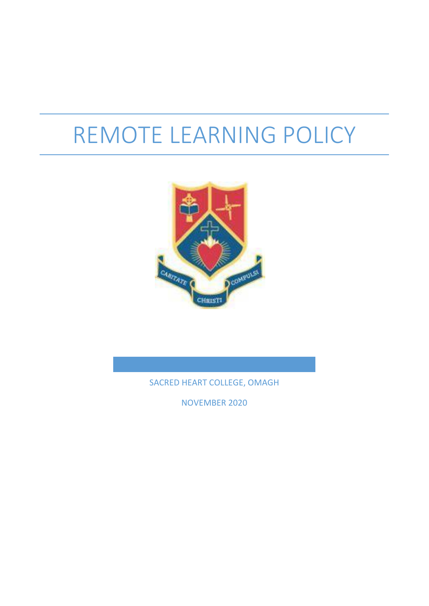# REMOTE LEARNING POLICY



SACRED HEART COLLEGE, OMAGH

NOVEMBER 2020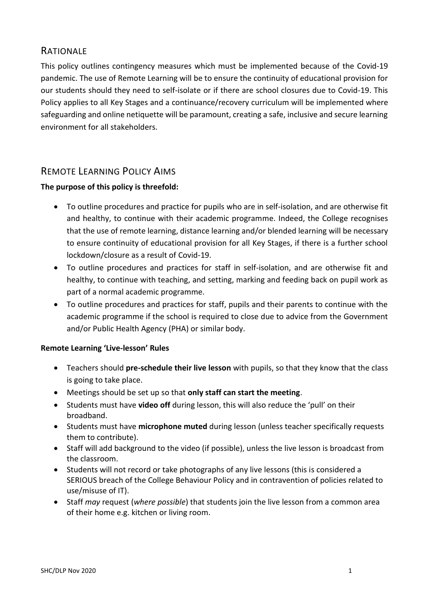# **RATIONALE**

This policy outlines contingency measures which must be implemented because of the Covid-19 pandemic. The use of Remote Learning will be to ensure the continuity of educational provision for our students should they need to self-isolate or if there are school closures due to Covid-19. This Policy applies to all Key Stages and a continuance/recovery curriculum will be implemented where safeguarding and online netiquette will be paramount, creating a safe, inclusive and secure learning environment for all stakeholders.

# REMOTE LEARNING POLICY AIMS

## **The purpose of this policy is threefold:**

- To outline procedures and practice for pupils who are in self-isolation, and are otherwise fit and healthy, to continue with their academic programme. Indeed, the College recognises that the use of remote learning, distance learning and/or blended learning will be necessary to ensure continuity of educational provision for all Key Stages, if there is a further school lockdown/closure as a result of Covid-19.
- To outline procedures and practices for staff in self-isolation, and are otherwise fit and healthy, to continue with teaching, and setting, marking and feeding back on pupil work as part of a normal academic programme.
- To outline procedures and practices for staff, pupils and their parents to continue with the academic programme if the school is required to close due to advice from the Government and/or Public Health Agency (PHA) or similar body.

#### **Remote Learning 'Live-lesson' Rules**

- Teachers should **pre-schedule their live lesson** with pupils, so that they know that the class is going to take place.
- Meetings should be set up so that **only staff can start the meeting**.
- Students must have **video off** during lesson, this will also reduce the 'pull' on their broadband.
- Students must have **microphone muted** during lesson (unless teacher specifically requests them to contribute).
- Staff will add background to the video (if possible), unless the live lesson is broadcast from the classroom.
- Students will not record or take photographs of any live lessons (this is considered a SERIOUS breach of the College Behaviour Policy and in contravention of policies related to use/misuse of IT).
- Staff *may* request (*where possible*) that students join the live lesson from a common area of their home e.g. kitchen or living room.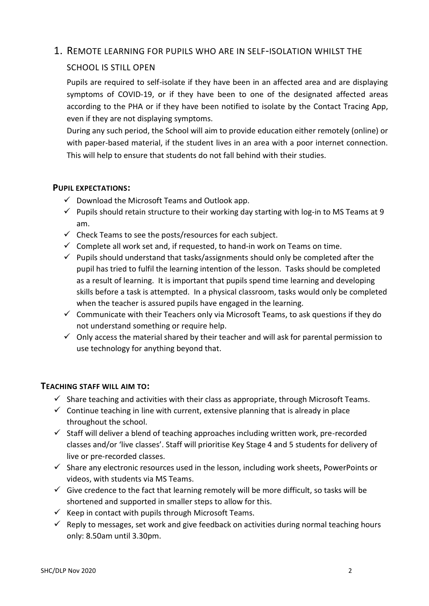## 1. REMOTE LEARNING FOR PUPILS WHO ARE IN SELF-ISOLATION WHILST THE

## SCHOOL IS STILL OPEN

Pupils are required to self-isolate if they have been in an affected area and are displaying symptoms of COVID-19, or if they have been to one of the designated affected areas according to the PHA or if they have been notified to isolate by the Contact Tracing App, even if they are not displaying symptoms.

During any such period, the School will aim to provide education either remotely (online) or with paper-based material, if the student lives in an area with a poor internet connection. This will help to ensure that students do not fall behind with their studies.

#### **PUPIL EXPECTATIONS:**

- $\checkmark$  Download the Microsoft Teams and Outlook app.
- $\checkmark$  Pupils should retain structure to their working day starting with log-in to MS Teams at 9 am.
- $\checkmark$  Check Teams to see the posts/resources for each subject.
- $\checkmark$  Complete all work set and, if requested, to hand-in work on Teams on time.
- $\checkmark$  Pupils should understand that tasks/assignments should only be completed after the pupil has tried to fulfil the learning intention of the lesson. Tasks should be completed as a result of learning. It is important that pupils spend time learning and developing skills before a task is attempted. In a physical classroom, tasks would only be completed when the teacher is assured pupils have engaged in the learning.
- $\checkmark$  Communicate with their Teachers only via Microsoft Teams, to ask questions if they do not understand something or require help.
- $\checkmark$  Only access the material shared by their teacher and will ask for parental permission to use technology for anything beyond that.

## **TEACHING STAFF WILL AIM TO:**

- $\checkmark$  Share teaching and activities with their class as appropriate, through Microsoft Teams.
- $\checkmark$  Continue teaching in line with current, extensive planning that is already in place throughout the school.
- $\checkmark$  Staff will deliver a blend of teaching approaches including written work, pre-recorded classes and/or 'live classes'. Staff will prioritise Key Stage 4 and 5 students for delivery of live or pre-recorded classes.
- $\checkmark$  Share any electronic resources used in the lesson, including work sheets, PowerPoints or videos, with students via MS Teams.
- $\checkmark$  Give credence to the fact that learning remotely will be more difficult, so tasks will be shortened and supported in smaller steps to allow for this.
- $\checkmark$  Keep in contact with pupils through Microsoft Teams.
- $\checkmark$  Reply to messages, set work and give feedback on activities during normal teaching hours only: 8.50am until 3.30pm.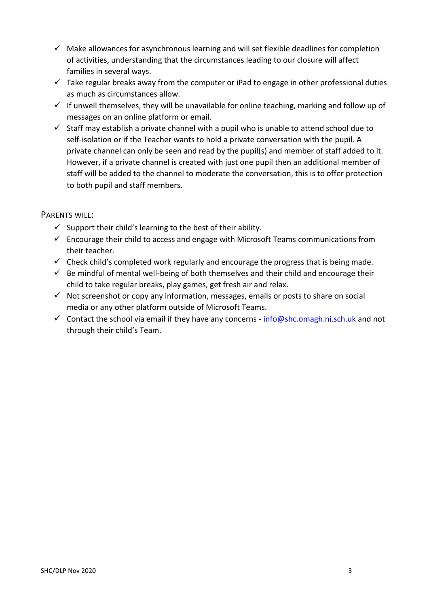- $\checkmark$  Make allowances for asynchronous learning and will set flexible deadlines for completion of activities, understanding that the circumstances leading to our closure will affect families in several ways.
- $\checkmark$  Take regular breaks away from the computer or iPad to engage in other professional duties as much as circumstances allow.
- $\checkmark$  If unwell themselves, they will be unavailable for online teaching, marking and follow up of messages on an online platform or email.
- $\checkmark$  Staff may establish a private channel with a pupil who is unable to attend school due to self-isolation or if the Teacher wants to hold a private conversation with the pupil. A private channel can only be seen and read by the pupil(s) and member of staff added to it. However, if a private channel is created with just one pupil then an additional member of staff will be added to the channel to moderate the conversation, this is to offer protection to both pupil and staff members.

## PARENTS WILL:

- $\checkmark$  Support their child's learning to the best of their ability.
- $\checkmark$  Encourage their child to access and engage with Microsoft Teams communications from their teacher.
- $\checkmark$  Check child's completed work regularly and encourage the progress that is being made.
- $\checkmark$  Be mindful of mental well-being of both themselves and their child and encourage their child to take regular breaks, play games, get fresh air and relax.
- $\checkmark$  Not screenshot or copy any information, messages, emails or posts to share on social media or any other platform outside of Microsoft Teams.
- Contact the school via email if they have any concerns  $info@shc.omagh.ni.sch.uk$  and not through their child's Team.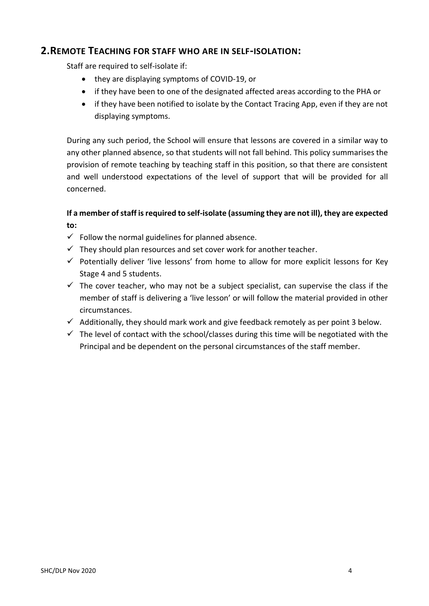# **2.REMOTE TEACHING FOR STAFF WHO ARE IN SELF-ISOLATION:**

Staff are required to self-isolate if:

- they are displaying symptoms of COVID-19, or
- if they have been to one of the designated affected areas according to the PHA or
- if they have been notified to isolate by the Contact Tracing App, even if they are not displaying symptoms.

During any such period, the School will ensure that lessons are covered in a similar way to any other planned absence, so that students will not fall behind. This policy summarises the provision of remote teaching by teaching staff in this position, so that there are consistent and well understood expectations of the level of support that will be provided for all concerned.

## **If a member of staff is required to self-isolate (assuming they are not ill), they are expected to:**

- $\checkmark$  Follow the normal guidelines for planned absence.
- $\checkmark$  They should plan resources and set cover work for another teacher.
- $\checkmark$  Potentially deliver 'live lessons' from home to allow for more explicit lessons for Key Stage 4 and 5 students.
- $\checkmark$  The cover teacher, who may not be a subject specialist, can supervise the class if the member of staff is delivering a 'live lesson' or will follow the material provided in other circumstances.
- $\checkmark$  Additionally, they should mark work and give feedback remotely as per point 3 below.
- $\checkmark$  The level of contact with the school/classes during this time will be negotiated with the Principal and be dependent on the personal circumstances of the staff member.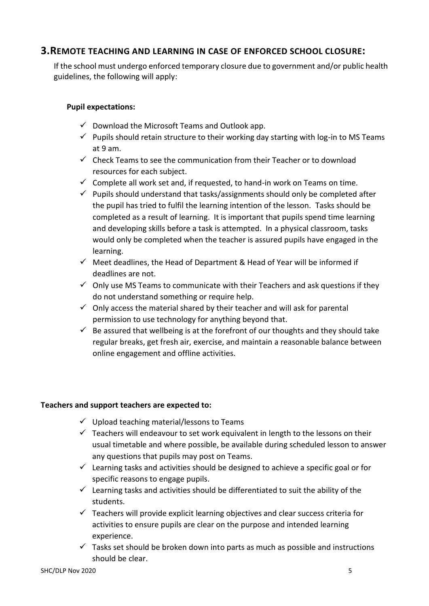# **3.REMOTE TEACHING AND LEARNING IN CASE OF ENFORCED SCHOOL CLOSURE:**

If the school must undergo enforced temporary closure due to government and/or public health guidelines, the following will apply:

## **Pupil expectations:**

- $\checkmark$  Download the Microsoft Teams and Outlook app.
- $\checkmark$  Pupils should retain structure to their working day starting with log-in to MS Teams at 9 am.
- $\checkmark$  Check Teams to see the communication from their Teacher or to download resources for each subject.
- $\checkmark$  Complete all work set and, if requested, to hand-in work on Teams on time.
- $\checkmark$  Pupils should understand that tasks/assignments should only be completed after the pupil has tried to fulfil the learning intention of the lesson. Tasks should be completed as a result of learning. It is important that pupils spend time learning and developing skills before a task is attempted. In a physical classroom, tasks would only be completed when the teacher is assured pupils have engaged in the learning.
- $\checkmark$  Meet deadlines, the Head of Department & Head of Year will be informed if deadlines are not.
- $\checkmark$  Only use MS Teams to communicate with their Teachers and ask questions if they do not understand something or require help.
- $\checkmark$  Only access the material shared by their teacher and will ask for parental permission to use technology for anything beyond that.
- $\checkmark$  Be assured that wellbeing is at the forefront of our thoughts and they should take regular breaks, get fresh air, exercise, and maintain a reasonable balance between online engagement and offline activities.

## **Teachers and support teachers are expected to:**

- $\checkmark$  Upload teaching material/lessons to Teams
- $\checkmark$  Teachers will endeavour to set work equivalent in length to the lessons on their usual timetable and where possible, be available during scheduled lesson to answer any questions that pupils may post on Teams.
- $\checkmark$  Learning tasks and activities should be designed to achieve a specific goal or for specific reasons to engage pupils.
- $\checkmark$  Learning tasks and activities should be differentiated to suit the ability of the students.
- $\checkmark$  Teachers will provide explicit learning objectives and clear success criteria for activities to ensure pupils are clear on the purpose and intended learning experience.
- $\checkmark$  Tasks set should be broken down into parts as much as possible and instructions should be clear.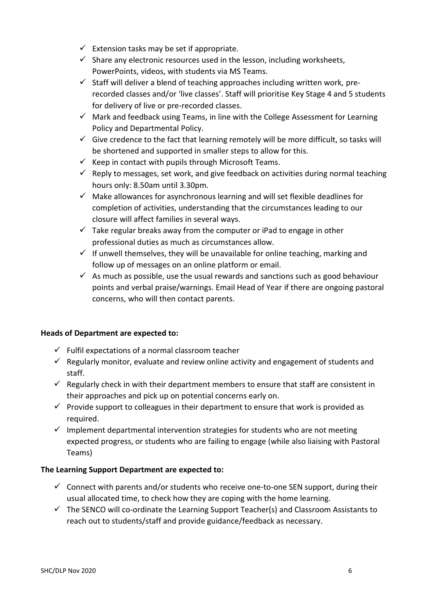- $\checkmark$  Extension tasks may be set if appropriate.
- $\checkmark$  Share any electronic resources used in the lesson, including worksheets, PowerPoints, videos, with students via MS Teams.
- $\checkmark$  Staff will deliver a blend of teaching approaches including written work, prerecorded classes and/or 'live classes'. Staff will prioritise Key Stage 4 and 5 students for delivery of live or pre-recorded classes.
- $\checkmark$  Mark and feedback using Teams, in line with the College Assessment for Learning Policy and Departmental Policy.
- $\checkmark$  Give credence to the fact that learning remotely will be more difficult, so tasks will be shortened and supported in smaller steps to allow for this.
- $\checkmark$  Keep in contact with pupils through Microsoft Teams.
- $\checkmark$  Reply to messages, set work, and give feedback on activities during normal teaching hours only: 8.50am until 3.30pm.
- $\checkmark$  Make allowances for asynchronous learning and will set flexible deadlines for completion of activities, understanding that the circumstances leading to our closure will affect families in several ways.
- $\checkmark$  Take regular breaks away from the computer or iPad to engage in other professional duties as much as circumstances allow.
- $\checkmark$  If unwell themselves, they will be unavailable for online teaching, marking and follow up of messages on an online platform or email.
- $\checkmark$  As much as possible, use the usual rewards and sanctions such as good behaviour points and verbal praise/warnings. Email Head of Year if there are ongoing pastoral concerns, who will then contact parents.

## **Heads of Department are expected to:**

- $\checkmark$  Fulfil expectations of a normal classroom teacher
- $\checkmark$  Regularly monitor, evaluate and review online activity and engagement of students and staff.
- $\checkmark$  Regularly check in with their department members to ensure that staff are consistent in their approaches and pick up on potential concerns early on.
- $\checkmark$  Provide support to colleagues in their department to ensure that work is provided as required.
- $\checkmark$  Implement departmental intervention strategies for students who are not meeting expected progress, or students who are failing to engage (while also liaising with Pastoral Teams)

## **The Learning Support Department are expected to:**

- $\checkmark$  Connect with parents and/or students who receive one-to-one SEN support, during their usual allocated time, to check how they are coping with the home learning.
- $\checkmark$  The SENCO will co-ordinate the Learning Support Teacher(s) and Classroom Assistants to reach out to students/staff and provide guidance/feedback as necessary.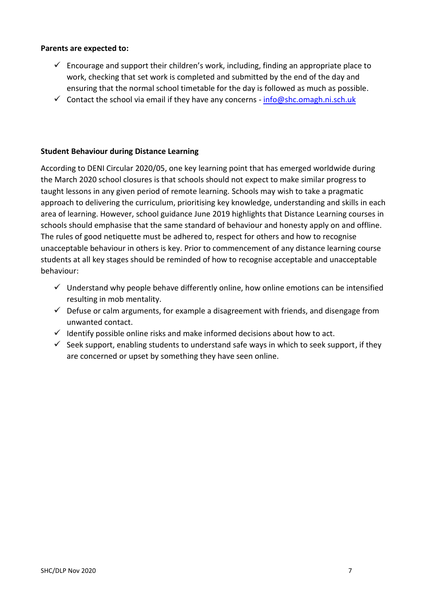#### **Parents are expected to:**

- $\checkmark$  Encourage and support their children's work, including, finding an appropriate place to work, checking that set work is completed and submitted by the end of the day and ensuring that the normal school timetable for the day is followed as much as possible.
- $\checkmark$  Contact the school via email if they have any concerns [info@shc.omagh.ni.sch.uk](mailto:info@shc.omagh.ni.sch.uk)

#### **Student Behaviour during Distance Learning**

According to DENI Circular 2020/05, one key learning point that has emerged worldwide during the March 2020 school closures is that schools should not expect to make similar progress to taught lessons in any given period of remote learning. Schools may wish to take a pragmatic approach to delivering the curriculum, prioritising key knowledge, understanding and skills in each area of learning. However, school guidance June 2019 highlights that Distance Learning courses in schools should emphasise that the same standard of behaviour and honesty apply on and offline. The rules of good netiquette must be adhered to, respect for others and how to recognise unacceptable behaviour in others is key. Prior to commencement of any distance learning course students at all key stages should be reminded of how to recognise acceptable and unacceptable behaviour:

- $\checkmark$  Understand why people behave differently online, how online emotions can be intensified resulting in mob mentality.
- $\checkmark$  Defuse or calm arguments, for example a disagreement with friends, and disengage from unwanted contact.
- $\checkmark$  Identify possible online risks and make informed decisions about how to act.
- $\checkmark$  Seek support, enabling students to understand safe ways in which to seek support, if they are concerned or upset by something they have seen online.